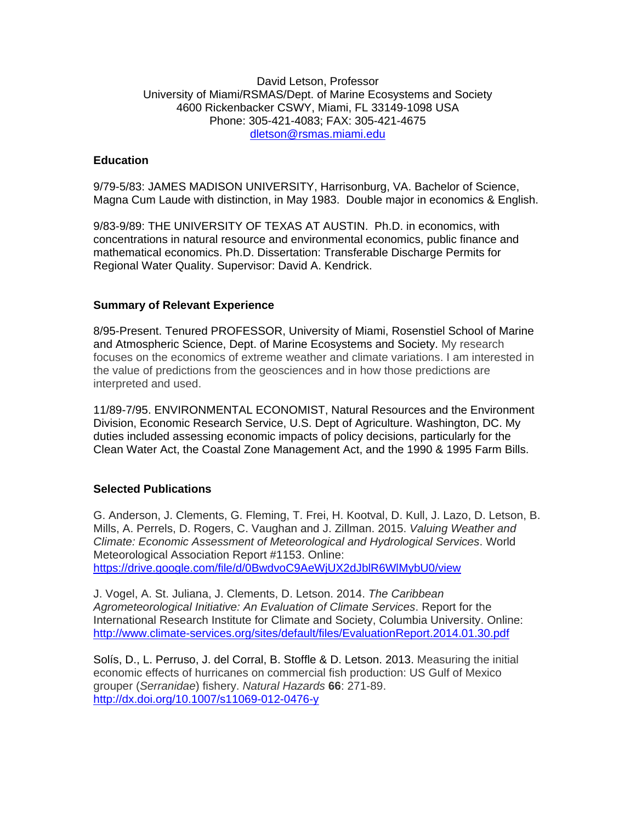#### David Letson, Professor University of Miami/RSMAS/Dept. of Marine Ecosystems and Society 4600 Rickenbacker CSWY, Miami, FL 33149-1098 USA Phone: 305-421-4083; FAX: 305-421-4675 dletson@rsmas.miami.edu

# **Education**

9/79-5/83: JAMES MADISON UNIVERSITY, Harrisonburg, VA. Bachelor of Science, Magna Cum Laude with distinction, in May 1983. Double major in economics & English.

9/83-9/89: THE UNIVERSITY OF TEXAS AT AUSTIN. Ph.D. in economics, with concentrations in natural resource and environmental economics, public finance and mathematical economics. Ph.D. Dissertation: Transferable Discharge Permits for Regional Water Quality. Supervisor: David A. Kendrick.

### **Summary of Relevant Experience**

8/95-Present. Tenured PROFESSOR, University of Miami, Rosenstiel School of Marine and Atmospheric Science, Dept. of Marine Ecosystems and Society. My research focuses on the economics of extreme weather and climate variations. I am interested in the value of predictions from the geosciences and in how those predictions are interpreted and used.

11/89-7/95. ENVIRONMENTAL ECONOMIST, Natural Resources and the Environment Division, Economic Research Service, U.S. Dept of Agriculture. Washington, DC. My duties included assessing economic impacts of policy decisions, particularly for the Clean Water Act, the Coastal Zone Management Act, and the 1990 & 1995 Farm Bills.

## **Selected Publications**

G. Anderson, J. Clements, G. Fleming, T. Frei, H. Kootval, D. Kull, J. Lazo, D. Letson, B. Mills, A. Perrels, D. Rogers, C. Vaughan and J. Zillman. 2015. *Valuing Weather and Climate: Economic Assessment of Meteorological and Hydrological Services*. World Meteorological Association Report #1153. Online: https://drive.google.com/file/d/0BwdvoC9AeWjUX2dJblR6WlMybU0/view

J. Vogel, A. St. Juliana, J. Clements, D. Letson. 2014. *The Caribbean Agrometeorological Initiative: An Evaluation of Climate Services*. Report for the International Research Institute for Climate and Society, Columbia University. Online: http://www.climate-services.org/sites/default/files/EvaluationReport.2014.01.30.pdf

Solís, D., L. Perruso, J. del Corral, B. Stoffle & D. Letson. 2013. Measuring the initial economic effects of hurricanes on commercial fish production: US Gulf of Mexico grouper (*Serranidae*) fishery. *Natural Hazards* **66**: 271-89. http://dx.doi.org/10.1007/s11069-012-0476-y